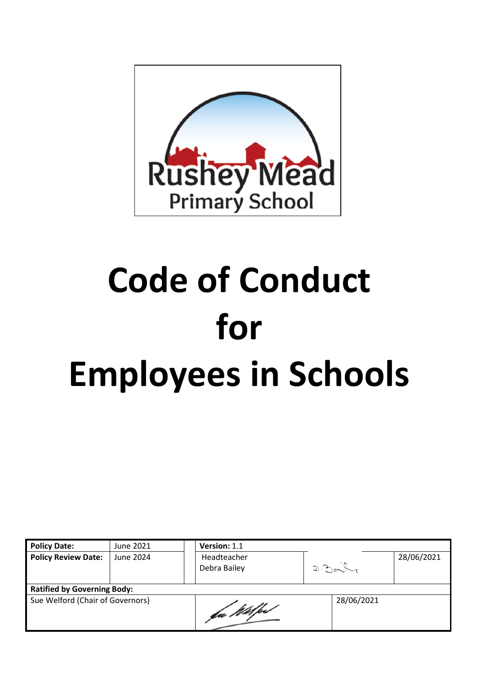

# **Code of Conduct for Employees in Schools**

| <b>Policy Date:</b>                | June 2021 |  | Version: 1.1                |      |            |            |  |
|------------------------------------|-----------|--|-----------------------------|------|------------|------------|--|
| <b>Policy Review Date:</b>         | June 2024 |  | Headteacher<br>Debra Bailey | D.30 |            | 28/06/2021 |  |
| <b>Ratified by Governing Body:</b> |           |  |                             |      |            |            |  |
| Sue Welford (Chair of Governors)   |           |  | ba Wilfest                  |      | 28/06/2021 |            |  |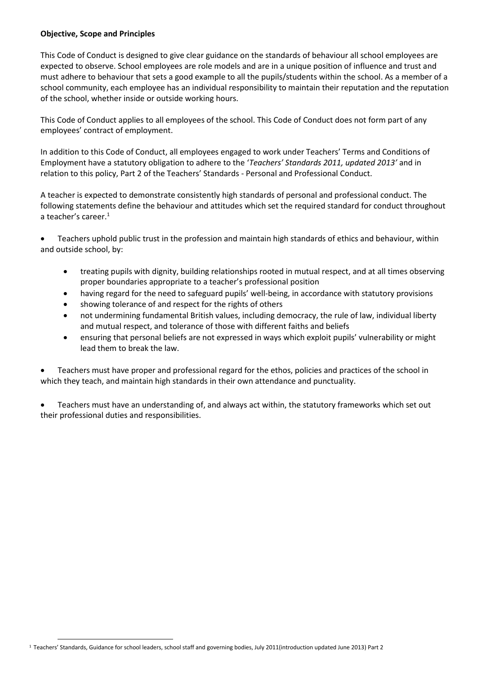#### **Objective, Scope and Principles**

This Code of Conduct is designed to give clear guidance on the standards of behaviour all school employees are expected to observe. School employees are role models and are in a unique position of influence and trust and must adhere to behaviour that sets a good example to all the pupils/students within the school. As a member of a school community, each employee has an individual responsibility to maintain their reputation and the reputation of the school, whether inside or outside working hours.

This Code of Conduct applies to all employees of the school. This Code of Conduct does not form part of any employees' contract of employment.

In addition to this Code of Conduct, all employees engaged to work under Teachers' Terms and Conditions of Employment have a statutory obligation to adhere to the '*Teachers' Standards 2011, updated 2013'* and in relation to this policy, Part 2 of the Teachers' Standards - Personal and Professional Conduct.

A teacher is expected to demonstrate consistently high standards of personal and professional conduct. The following statements define the behaviour and attitudes which set the required standard for conduct throughout a teacher's career. $1$ 

 Teachers uphold public trust in the profession and maintain high standards of ethics and behaviour, within and outside school, by:

- treating pupils with dignity, building relationships rooted in mutual respect, and at all times observing proper boundaries appropriate to a teacher's professional position
- having regard for the need to safeguard pupils' well-being, in accordance with statutory provisions
- showing tolerance of and respect for the rights of others
- not undermining fundamental British values, including democracy, the rule of law, individual liberty and mutual respect, and tolerance of those with different faiths and beliefs
- ensuring that personal beliefs are not expressed in ways which exploit pupils' vulnerability or might lead them to break the law.

 Teachers must have proper and professional regard for the ethos, policies and practices of the school in which they teach, and maintain high standards in their own attendance and punctuality.

 Teachers must have an understanding of, and always act within, the statutory frameworks which set out their professional duties and responsibilities.

**.** 

<sup>1</sup> Teachers' Standards, Guidance for school leaders, school staff and governing bodies, July 2011(introduction updated June 2013) Part 2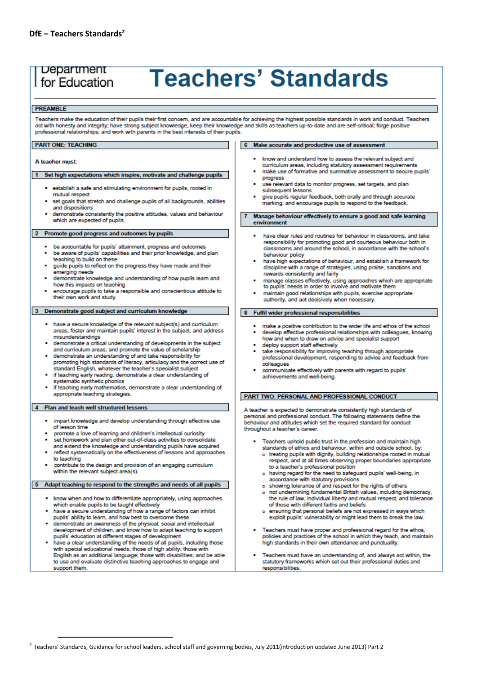# Department for Education

# **Teachers' Standards**

#### PREAMBLE

Teachers make the education of their pupils their first concern, and are accountable for achieving the highest possible standards in work and conduct. Teachers act with honesty and integrity; have strong subject knowledge, keep their knowledge and skills as teachers up-to-date and are self-critical; forge positive professional relationships; and work with parents in the best interests of their pupils.

#### **PART ONE: TEACHING**

#### A teacher must:

#### 1 Set high expectations which inspire, motivate and challenge pupils

- · establish a safe and stimulating environment for pupils, rooted in mutual respect
- set goals that stretch and challenge pupils of all backgrounds, abilities and dispositions
- demonstrate consistently the positive attitudes, values and behaviour which are expected of pupils.

#### 2 Promote good progress and outcomes by pupils

- be accountable for pupils' attainment, progress and outcomes
- be aware of pupils' capabilities and their prior knowledge, and plan teaching to build on these
- quide pupils to reflect on the progress they have made and their emerging needs
- demonstrate knowledge and understanding of how pupils learn and how this impacts on teaching
- encourage pupils to take a responsible and conscientious attitude to their own work and study.

#### 3 Demonstrate good subject and curriculum knowledge

- have a secure knowledge of the relevant subject(s) and curriculum areas, foster and maintain pupils' interest in the subject, and address misunderstandings
- demonstrate a critical understanding of developments in the subject and curriculum areas, and promote the value of scholarship
- demonstrate an understanding of and take responsibility for promoting high standards of literacy, articulacy and the correct use of standard English, whatever the teacher's specialist subject
- if teaching early reading, demonstrate a clear understanding of systematic synthetic phonics
- if teaching early mathematics, demonstrate a clear understanding of appropriate teaching strategies

#### 4 Plan and teach well structured lessons

1

- . impart knowledge and develop understanding through effective use of lesson time
- promote a love of learning and children's intellectual curiosity set homework and plan other out-of-class activities to consolidate
- and extend the knowledge and understanding pupils have acquired reflect systematically on the effectiveness of lessons and approaches to teaching
- contribute to the design and provision of an engaging curriculum within the relevant subject area(s).

#### 5 Adapt teaching to respond to the strengths and needs of all pupils

- . know when and how to differentiate appropriately, using approaches which enable pupils to be taught effectively
- . have a secure understanding of how a range of factors can inhibit pupils' ability to learn, and how best to overcome these
- demonstrate an awareness of the physical, social and intellectual development of children, and know how to adapt teaching to support pupils' education at different stages of development
- have a clear understanding of the needs of all pupils, including those with special educational needs: those of high ability; those with English as an additional language; those with disabilities; and be able to use and evaluate distinctive teaching approaches to engage and support them

#### 6 Make accurate and productive use of assessment

- know and understand how to assess the relevant subject and curriculum areas, including statutory assessment requirements make use of formative and summative assessment to secure pupils'
- progress use relevant data to monitor progress, set targets, and plan
- subsequent lessons give pupils regular feedback, both orally and through accurate
- marking, and encourage pupils to respond to the feedback.

Manage behaviour effectively to ensure a good and safe learning environment

- have clear rules and routines for behaviour in classrooms, and take responsibility for promoting good and courteous behaviour both in classrooms and around the school, in accordance with the school's behaviour policy
- have high expectations of behaviour, and establish a framework for discipline with a range of strategies, using praise, sanctions and rewards consistently and fairly
- manage classes effectively, using approaches which are appropriate to pupils' needs in order to involve and motivate them
- maintain good relationships with pupils, exercise appropriate authority, and act decisively when necessary.

#### 8 Fulfil wider professional responsibilities

- make a positive contribution to the wider life and ethos of the school develop effective professional relationships with colleagues, knowing
- how and when to draw on advice and specialist support deploy support staff effectively
- take responsibility for improving teaching through appropriate professional development, responding to advice and feedback from .<br>colleagues
- communicate effectively with parents with regard to pupils' achievements and well-being.

#### PART TWO: PERSONAL AND PROFESSIONAL CONDUCT

A teacher is expected to demonstrate consistently high standards of personal and professional conduct. The following statements define the behaviour and attitudes which set the required standard for conduct throughout a teacher's career.

- Teachers uphold public trust in the profession and maintain high standards of ethics and behaviour, within and outside school, by:
	- o treating pupils with dignity, building relationships rooted in mutual respect, and at all times observing proper boundaries appropriate to a teacher's professional position
	- o having regard for the need to safeguard pupils' well-being, in accordance with statutory provisions
	- o showing tolerance of and respect for the rights of others
	- o not undermining fundamental British values, including democracy, the rule of law, individual liberty and mutual respect, and tolerance of those with different faiths and beliefs
	- o ensuring that personal beliefs are not expressed in ways which exploit pupils' vulnerability or might lead them to break the law.
- Teachers must have proper and professional regard for the ethos, policies and practices of the school in which they teach, and maintain high standards in their own attendance and punctuality
- Teachers must have an understanding of, and always act within, the statutory frameworks which set out their professional duties and responsibilities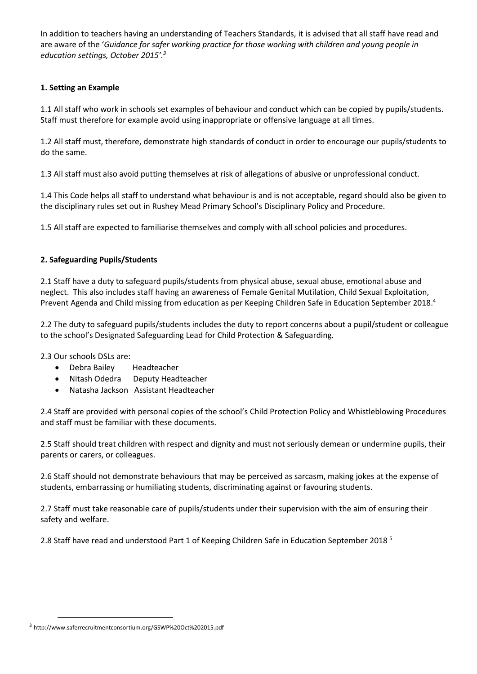In addition to teachers having an understanding of Teachers Standards, it is advised that all staff have read and are aware of the '*Guidance for safer working practice for those working with children and young people in education settings, October 2015'. 3*

# **1. Setting an Example**

1.1 All staff who work in schools set examples of behaviour and conduct which can be copied by pupils/students. Staff must therefore for example avoid using inappropriate or offensive language at all times.

1.2 All staff must, therefore, demonstrate high standards of conduct in order to encourage our pupils/students to do the same.

1.3 All staff must also avoid putting themselves at risk of allegations of abusive or unprofessional conduct.

1.4 This Code helps all staff to understand what behaviour is and is not acceptable, regard should also be given to the disciplinary rules set out in Rushey Mead Primary School's Disciplinary Policy and Procedure.

1.5 All staff are expected to familiarise themselves and comply with all school policies and procedures.

# **2. Safeguarding Pupils/Students**

2.1 Staff have a duty to safeguard pupils/students from physical abuse, sexual abuse, emotional abuse and neglect. This also includes staff having an awareness of Female Genital Mutilation, Child Sexual Exploitation, Prevent Agenda and Child missing from education as per Keeping Children Safe in Education September 2018.<sup>4</sup>

2.2 The duty to safeguard pupils/students includes the duty to report concerns about a pupil/student or colleague to the school's Designated Safeguarding Lead for Child Protection & Safeguarding.

2.3 Our schools DSLs are:

- Debra Bailey Headteacher
- Nitash Odedra Deputy Headteacher
- Natasha Jackson Assistant Headteacher

2.4 Staff are provided with personal copies of the school's Child Protection Policy and Whistleblowing Procedures and staff must be familiar with these documents.

2.5 Staff should treat children with respect and dignity and must not seriously demean or undermine pupils, their parents or carers, or colleagues.

2.6 Staff should not demonstrate behaviours that may be perceived as sarcasm, making jokes at the expense of students, embarrassing or humiliating students, discriminating against or favouring students.

2.7 Staff must take reasonable care of pupils/students under their supervision with the aim of ensuring their safety and welfare.

2.8 Staff have read and understood Part 1 of Keeping Children Safe in Education September 2018<sup>5</sup>

1

<sup>3</sup> http://www.saferrecruitmentconsortium.org/GSWP%20Oct%202015.pdf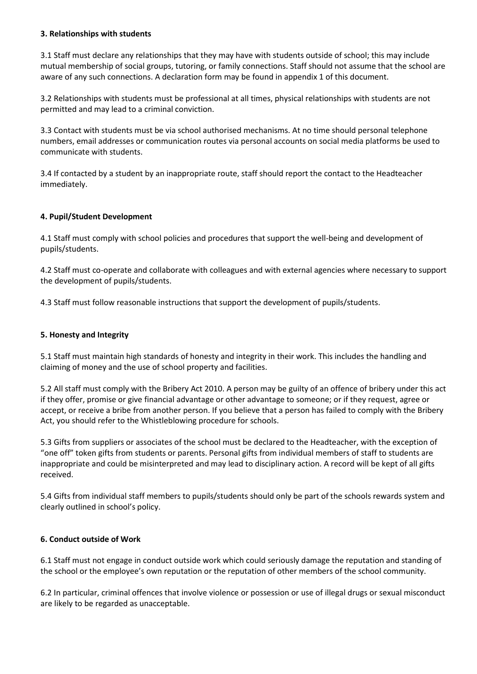#### **3. Relationships with students**

3.1 Staff must declare any relationships that they may have with students outside of school; this may include mutual membership of social groups, tutoring, or family connections. Staff should not assume that the school are aware of any such connections. A declaration form may be found in appendix 1 of this document.

3.2 Relationships with students must be professional at all times, physical relationships with students are not permitted and may lead to a criminal conviction.

3.3 Contact with students must be via school authorised mechanisms. At no time should personal telephone numbers, email addresses or communication routes via personal accounts on social media platforms be used to communicate with students.

3.4 If contacted by a student by an inappropriate route, staff should report the contact to the Headteacher immediately.

#### **4. Pupil/Student Development**

4.1 Staff must comply with school policies and procedures that support the well-being and development of pupils/students.

4.2 Staff must co-operate and collaborate with colleagues and with external agencies where necessary to support the development of pupils/students.

4.3 Staff must follow reasonable instructions that support the development of pupils/students.

#### **5. Honesty and Integrity**

5.1 Staff must maintain high standards of honesty and integrity in their work. This includes the handling and claiming of money and the use of school property and facilities.

5.2 All staff must comply with the Bribery Act 2010. A person may be guilty of an offence of bribery under this act if they offer, promise or give financial advantage or other advantage to someone; or if they request, agree or accept, or receive a bribe from another person. If you believe that a person has failed to comply with the Bribery Act, you should refer to the Whistleblowing procedure for schools.

5.3 Gifts from suppliers or associates of the school must be declared to the Headteacher, with the exception of "one off" token gifts from students or parents. Personal gifts from individual members of staff to students are inappropriate and could be misinterpreted and may lead to disciplinary action. A record will be kept of all gifts received.

5.4 Gifts from individual staff members to pupils/students should only be part of the schools rewards system and clearly outlined in school's policy.

# **6. Conduct outside of Work**

6.1 Staff must not engage in conduct outside work which could seriously damage the reputation and standing of the school or the employee's own reputation or the reputation of other members of the school community.

6.2 In particular, criminal offences that involve violence or possession or use of illegal drugs or sexual misconduct are likely to be regarded as unacceptable.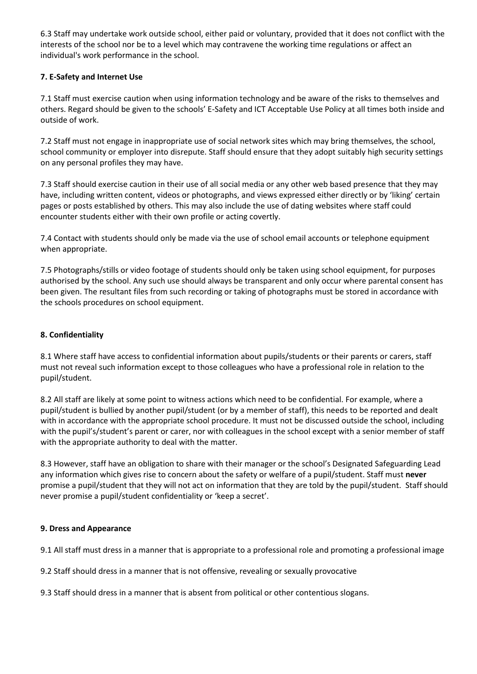6.3 Staff may undertake work outside school, either paid or voluntary, provided that it does not conflict with the interests of the school nor be to a level which may contravene the working time regulations or affect an individual's work performance in the school.

# **7. E-Safety and Internet Use**

7.1 Staff must exercise caution when using information technology and be aware of the risks to themselves and others. Regard should be given to the schools' E-Safety and ICT Acceptable Use Policy at all times both inside and outside of work.

7.2 Staff must not engage in inappropriate use of social network sites which may bring themselves, the school, school community or employer into disrepute. Staff should ensure that they adopt suitably high security settings on any personal profiles they may have.

7.3 Staff should exercise caution in their use of all social media or any other web based presence that they may have, including written content, videos or photographs, and views expressed either directly or by 'liking' certain pages or posts established by others. This may also include the use of dating websites where staff could encounter students either with their own profile or acting covertly.

7.4 Contact with students should only be made via the use of school email accounts or telephone equipment when appropriate.

7.5 Photographs/stills or video footage of students should only be taken using school equipment, for purposes authorised by the school. Any such use should always be transparent and only occur where parental consent has been given. The resultant files from such recording or taking of photographs must be stored in accordance with the schools procedures on school equipment.

# **8. Confidentiality**

8.1 Where staff have access to confidential information about pupils/students or their parents or carers, staff must not reveal such information except to those colleagues who have a professional role in relation to the pupil/student.

8.2 All staff are likely at some point to witness actions which need to be confidential. For example, where a pupil/student is bullied by another pupil/student (or by a member of staff), this needs to be reported and dealt with in accordance with the appropriate school procedure. It must not be discussed outside the school, including with the pupil's/student's parent or carer, nor with colleagues in the school except with a senior member of staff with the appropriate authority to deal with the matter.

8.3 However, staff have an obligation to share with their manager or the school's Designated Safeguarding Lead any information which gives rise to concern about the safety or welfare of a pupil/student. Staff must **never**  promise a pupil/student that they will not act on information that they are told by the pupil/student. Staff should never promise a pupil/student confidentiality or 'keep a secret'.

# **9. Dress and Appearance**

9.1 All staff must dress in a manner that is appropriate to a professional role and promoting a professional image

9.2 Staff should dress in a manner that is not offensive, revealing or sexually provocative

9.3 Staff should dress in a manner that is absent from political or other contentious slogans.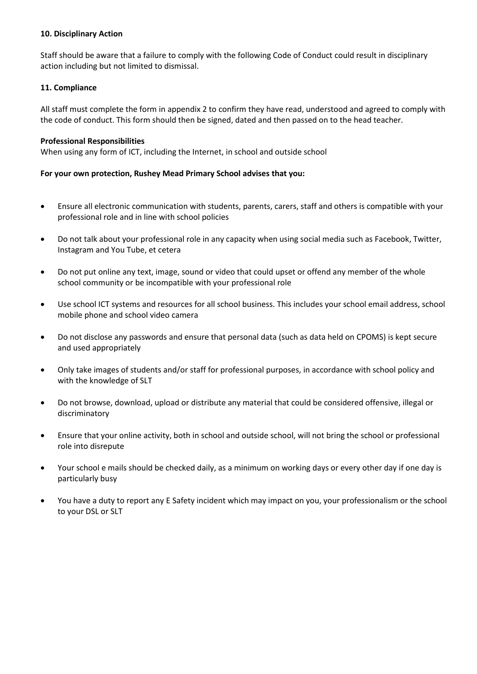#### **10. Disciplinary Action**

Staff should be aware that a failure to comply with the following Code of Conduct could result in disciplinary action including but not limited to dismissal.

#### **11. Compliance**

All staff must complete the form in appendix 2 to confirm they have read, understood and agreed to comply with the code of conduct. This form should then be signed, dated and then passed on to the head teacher.

#### **Professional Responsibilities**

When using any form of ICT, including the Internet, in school and outside school

#### **For your own protection, Rushey Mead Primary School advises that you:**

- Ensure all electronic communication with students, parents, carers, staff and others is compatible with your professional role and in line with school policies
- Do not talk about your professional role in any capacity when using social media such as Facebook, Twitter, Instagram and You Tube, et cetera
- Do not put online any text, image, sound or video that could upset or offend any member of the whole school community or be incompatible with your professional role
- Use school ICT systems and resources for all school business. This includes your school email address, school mobile phone and school video camera
- Do not disclose any passwords and ensure that personal data (such as data held on CPOMS) is kept secure and used appropriately
- Only take images of students and/or staff for professional purposes, in accordance with school policy and with the knowledge of SLT
- Do not browse, download, upload or distribute any material that could be considered offensive, illegal or discriminatory
- Ensure that your online activity, both in school and outside school, will not bring the school or professional role into disrepute
- Your school e mails should be checked daily, as a minimum on working days or every other day if one day is particularly busy
- You have a duty to report any E Safety incident which may impact on you, your professionalism or the school to your DSL or SLT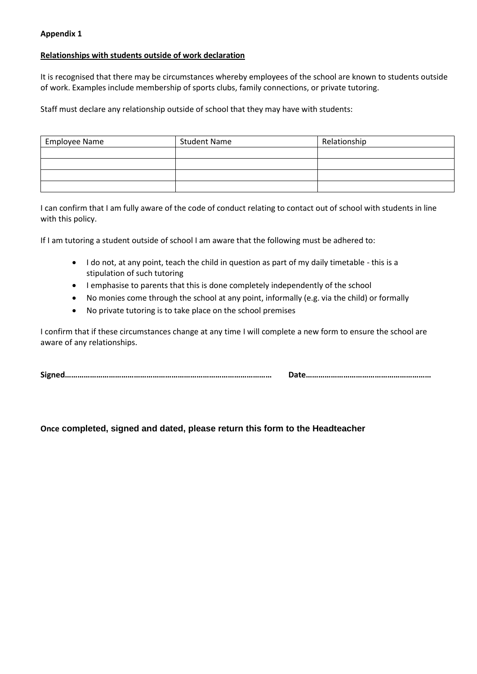#### **Appendix 1**

#### **Relationships with students outside of work declaration**

It is recognised that there may be circumstances whereby employees of the school are known to students outside of work. Examples include membership of sports clubs, family connections, or private tutoring.

Staff must declare any relationship outside of school that they may have with students:

| Employee Name | <b>Student Name</b> | Relationship |
|---------------|---------------------|--------------|
|               |                     |              |
|               |                     |              |
|               |                     |              |
|               |                     |              |

I can confirm that I am fully aware of the code of conduct relating to contact out of school with students in line with this policy.

If I am tutoring a student outside of school I am aware that the following must be adhered to:

- I do not, at any point, teach the child in question as part of my daily timetable this is a stipulation of such tutoring
- I emphasise to parents that this is done completely independently of the school
- No monies come through the school at any point, informally (e.g. via the child) or formally
- No private tutoring is to take place on the school premises

I confirm that if these circumstances change at any time I will complete a new form to ensure the school are aware of any relationships.

**Signed……………………………………………………………………………………… Date……………………………………………………**

**Once completed, signed and dated, please return this form to the Headteacher**